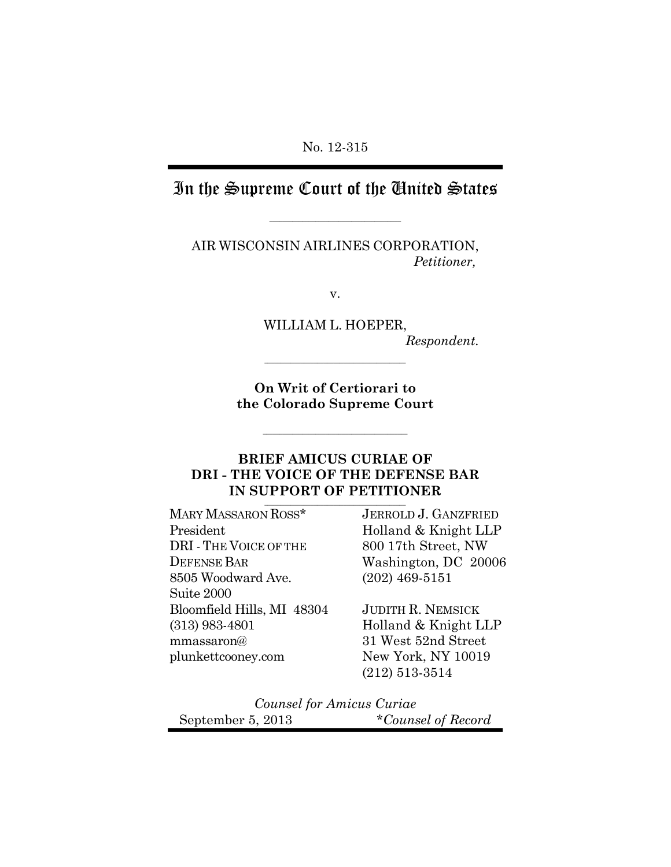# In the Supreme Court of the United States

\_\_\_\_\_\_\_\_\_\_\_\_\_\_\_\_\_\_\_\_\_\_\_\_\_\_\_\_\_\_\_\_\_\_\_\_\_\_\_\_

AIR WISCONSIN AIRLINES CORPORATION,  *Petitioner,*

v.

WILLIAM L. HOEPER, *Respondent.*

**On Writ of Certiorari to the Colorado Supreme Court**

**\_\_\_\_\_\_\_\_\_\_\_\_\_\_\_\_\_\_\_\_\_\_\_\_\_\_\_\_\_\_\_\_\_\_\_\_\_\_\_\_\_\_\_\_**

**\_\_\_\_\_\_\_\_\_\_\_\_\_\_\_\_\_\_\_\_\_\_\_\_\_\_\_\_\_\_\_\_\_\_\_\_\_\_\_\_\_\_\_**

## **BRIEF AMICUS CURIAE OF DRI - THE VOICE OF THE DEFENSE BAR IN SUPPORT OF PETITIONER**

**\_\_\_\_\_\_\_\_\_\_\_\_\_\_\_\_\_\_\_\_\_\_\_\_\_\_\_\_\_\_\_\_\_\_\_\_\_\_\_\_\_\_\_**

MARY MASSARON ROSS*\** President DRI -THE VOICE OF THE DEFENSE BAR 8505 Woodward Ave. Suite 2000 Bloomfield Hills, MI 48304 (313) 983-4801 mmassaron@ plunkettcooney.com

JERROLD J. GANZFRIED Holland & Knight LLP 800 17th Street, NW Washington, DC 20006 (202) 469-5151

JUDITH R. NEMSICK Holland & Knight LLP 31 West 52nd Street New York, NY 10019 (212) 513-3514

*Counsel for Amicus Curiae* September 5, 2013 *\*Counsel of Record*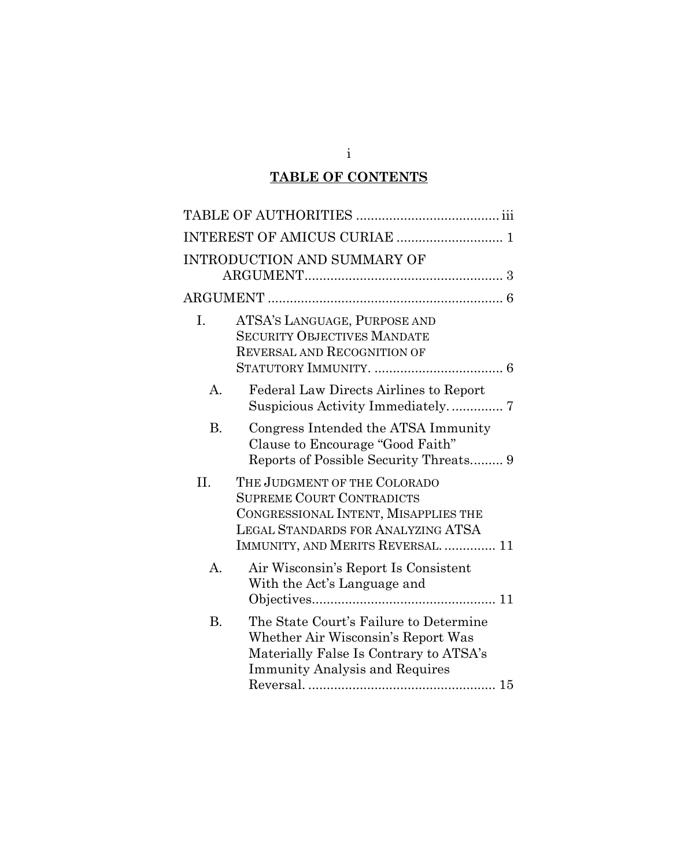# **TABLE OF CONTENTS**

|                | <b>INTRODUCTION AND SUMMARY OF</b>                                                                                                                                                 |
|----------------|------------------------------------------------------------------------------------------------------------------------------------------------------------------------------------|
|                |                                                                                                                                                                                    |
| I.             | ATSA'S LANGUAGE, PURPOSE AND<br><b>SECURITY OBJECTIVES MANDATE</b><br>REVERSAL AND RECOGNITION OF                                                                                  |
| $\mathbf{A}$ . | Federal Law Directs Airlines to Report<br>Suspicious Activity Immediately 7                                                                                                        |
| <b>B.</b>      | Congress Intended the ATSA Immunity<br>Clause to Encourage "Good Faith"<br>Reports of Possible Security Threats 9                                                                  |
| II.            | THE JUDGMENT OF THE COLORADO<br><b>SUPREME COURT CONTRADICTS</b><br>CONGRESSIONAL INTENT, MISAPPLIES THE<br>LEGAL STANDARDS FOR ANALYZING ATSA<br>IMMUNITY, AND MERITS REVERSAL 11 |
| $\mathbf{A}$ . | Air Wisconsin's Report Is Consistent<br>With the Act's Language and                                                                                                                |
| <b>B.</b>      | The State Court's Failure to Determine<br>Whether Air Wisconsin's Report Was<br>Materially False Is Contrary to ATSA's<br><b>Immunity Analysis and Requires</b>                    |

i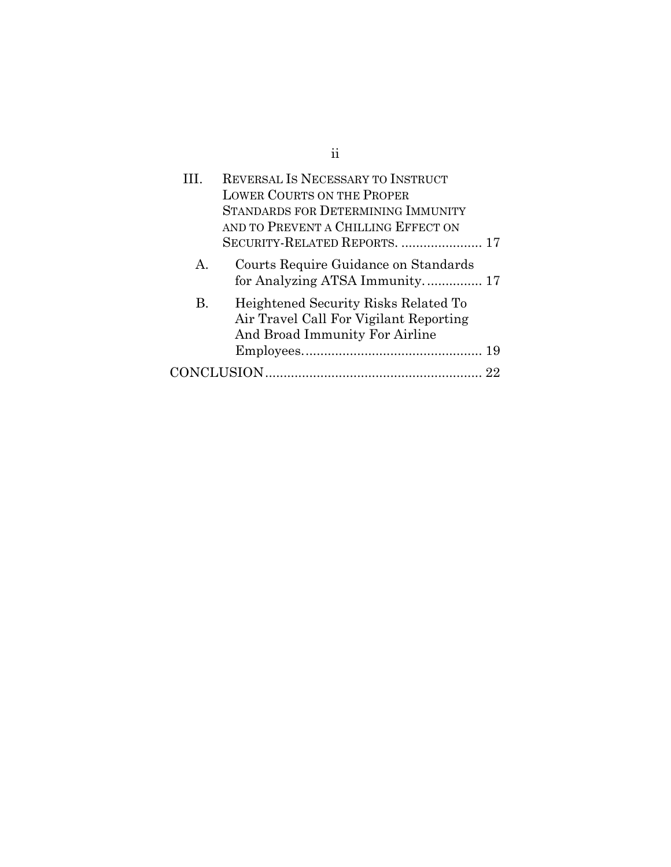| $\mathbf{H}$   | REVERSAL IS NECESSARY TO INSTRUCT<br><b>LOWER COURTS ON THE PROPER</b><br><b>STANDARDS FOR DETERMINING IMMUNITY</b><br>AND TO PREVENT A CHILLING EFFECT ON<br>SECURITY-RELATED REPORTS.  17 |  |
|----------------|---------------------------------------------------------------------------------------------------------------------------------------------------------------------------------------------|--|
| $\mathsf{A}$ . | Courts Require Guidance on Standards<br>for Analyzing ATSA Immunity 17                                                                                                                      |  |
| <b>B.</b>      | Heightened Security Risks Related To<br>Air Travel Call For Vigilant Reporting<br>And Broad Immunity For Airline                                                                            |  |
|                |                                                                                                                                                                                             |  |
|                |                                                                                                                                                                                             |  |

ii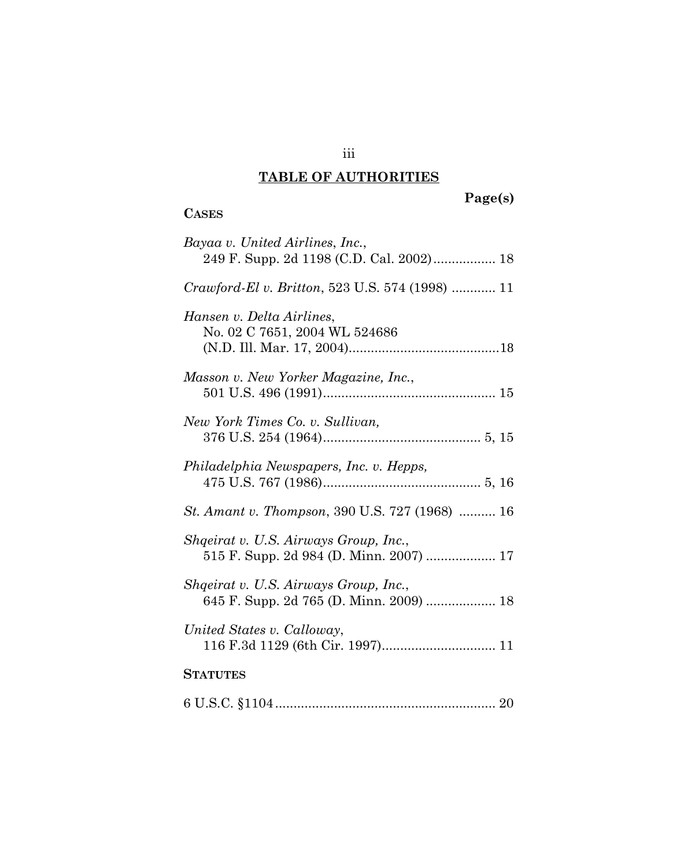#### **TABLE OF AUTHORITIES**

**CASES**

#### **Page(s)**

# *Bayaa v. United Airlines*, *Inc.*, 249 F. Supp. 2d 1198 (C.D. Cal. 2002)................. [18](#page-25-0) *Crawford-El v. Britton*, 523 U.S. 574 (1998) ............ [11](#page-25-0) *Hansen v. Delta Airlines*, No. 02 C 7651, 2004 WL 524686 (N.D. Ill. Mar. 17, 2004)........................................[.1](#page-25-1)8 *Masson v. New Yorker Magazine, Inc.*, 501 U.S. 496 (1991)............................................... [15](#page-22-1) *New York Times Co. v. Sullivan,* 376 U.S. 254 (1964)........................................... 5, 15 *Philadelphia Newspapers, Inc. v. Hepps,* 475 U.S. 767 (1986)........................................... 5, [16](#page-23-0) *St. Amant v. Thompson*, 390 U.S. 727 (1968) .......... [16](#page-25-0) *Shqeirat v. U.S. Airways Group, Inc.*, 515 F. Supp. 2d 984 (D. Minn. 2007) ................... [17](#page-24-2) *Shqeirat v. U.S. Airways Group, Inc.*, 645 F. Supp. 2d 765 (D. Minn. 2009) ................... [18](#page-25-2) *United States v. Calloway*, 116 F.3d 1129 (6th Cir. 1997)............................... 11 **STATUTES** 6 U.S.C. §1104............................................................ 20

#### iii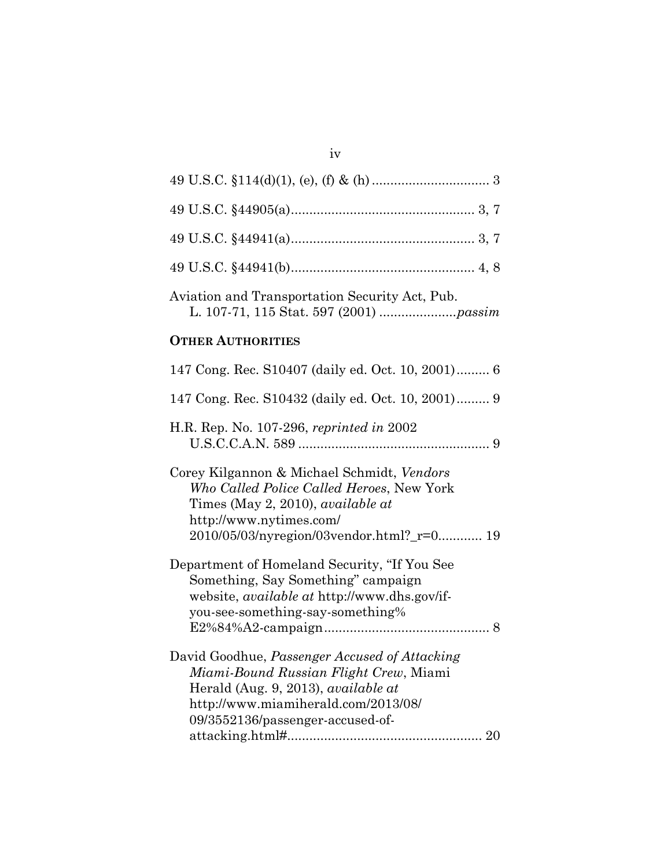| Aviation and Transportation Security Act, Pub. |  |  |
|------------------------------------------------|--|--|

iv

## **OTHER AUTHORITIES**

| 147 Cong. Rec. S10407 (daily ed. Oct. 10, 2001) 6                                                                                                              |
|----------------------------------------------------------------------------------------------------------------------------------------------------------------|
| 147 Cong. Rec. S10432 (daily ed. Oct. 10, 2001) 9                                                                                                              |
| H.R. Rep. No. 107-296, reprinted in 2002                                                                                                                       |
| Corey Kilgannon & Michael Schmidt, Vendors<br>Who Called Police Called Heroes, New York<br>Times (May 2, 2010), <i>available at</i><br>http://www.nytimes.com/ |
| 2010/05/03/nyregion/03vendor.html?_r=0 19                                                                                                                      |
| Department of Homeland Security, "If You See                                                                                                                   |
| Something, Say Something" campaign                                                                                                                             |
| website, <i>available at</i> http://www.dhs.gov/if-                                                                                                            |
| you-see-something-say-something%                                                                                                                               |
|                                                                                                                                                                |
| David Goodhue, Passenger Accused of Attacking                                                                                                                  |
| Miami-Bound Russian Flight Crew, Miami                                                                                                                         |
| Herald (Aug. 9, 2013), available at                                                                                                                            |
| http://www.miamiherald.com/2013/08/                                                                                                                            |
| 09/3552136/passenger-accused-of-                                                                                                                               |
|                                                                                                                                                                |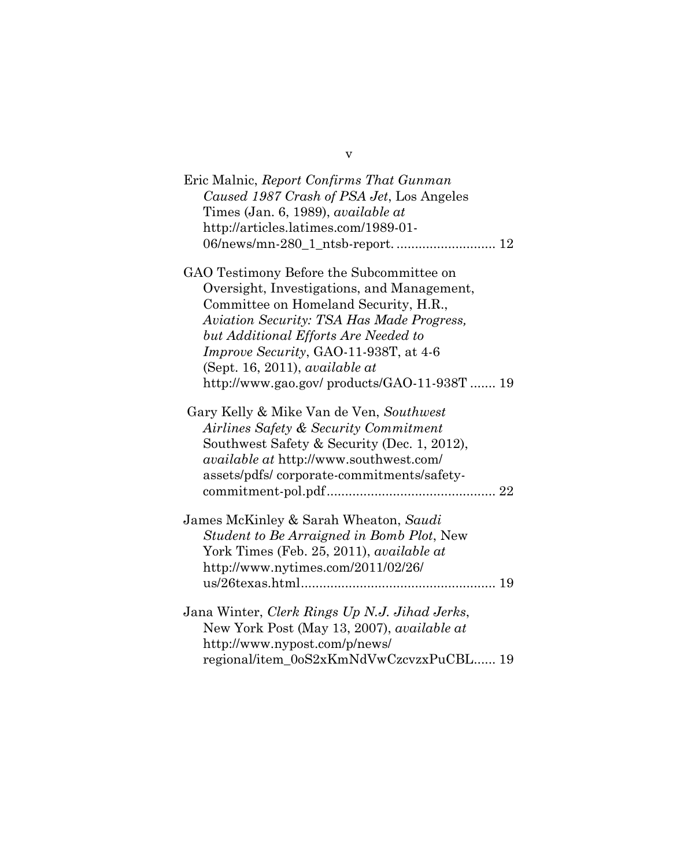| Eric Malnic, Report Confirms That Gunman<br>Caused 1987 Crash of PSA Jet, Los Angeles<br>Times (Jan. 6, 1989), <i>available at</i><br>http://articles.latimes.com/1989-01-       |
|----------------------------------------------------------------------------------------------------------------------------------------------------------------------------------|
| GAO Testimony Before the Subcommittee on<br>Oversight, Investigations, and Management,                                                                                           |
| Committee on Homeland Security, H.R.,<br>Aviation Security: TSA Has Made Progress,<br>but Additional Efforts Are Needed to                                                       |
| <i>Improve Security, GAO-11-938T, at 4-6</i><br>(Sept. 16, 2011), available at                                                                                                   |
| http://www.gao.gov/products/GAO-11-938T  19                                                                                                                                      |
| Gary Kelly & Mike Van de Ven, Southwest<br>Airlines Safety & Security Commitment<br>Southwest Safety & Security (Dec. 1, 2012),<br><i>available at http://www.southwest.com/</i> |
| assets/pdfs/corporate-commitments/safety-                                                                                                                                        |
| James McKinley & Sarah Wheaton, Saudi<br>Student to Be Arraigned in Bomb Plot, New<br>York Times (Feb. 25, 2011), <i>available at</i><br>http://www.nytimes.com/2011/02/26/      |
|                                                                                                                                                                                  |
| Jana Winter, Clerk Rings Up N.J. Jihad Jerks,<br>New York Post (May 13, 2007), available at<br>http://www.nypost.com/p/news/                                                     |
| regional/item_0oS2xKmNdVwCzcvzxPuCBL 19                                                                                                                                          |

v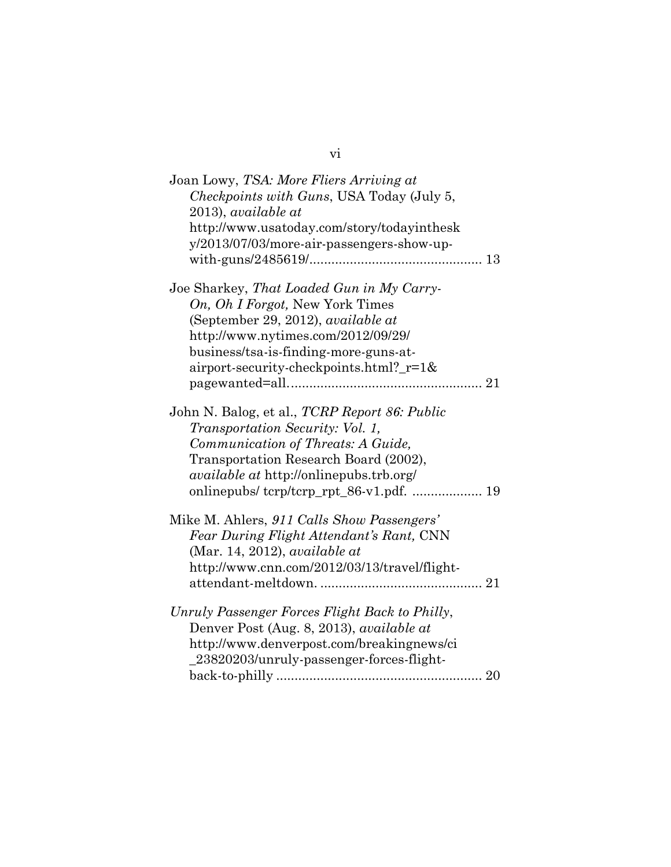| Joan Lowy, TSA: More Fliers Arriving at         |
|-------------------------------------------------|
| Checkpoints with Guns, USA Today (July 5,       |
| 2013), available at                             |
| http://www.usatoday.com/story/todayinthesk      |
| y/2013/07/03/more-air-passengers-show-up-       |
|                                                 |
|                                                 |
| Joe Sharkey, That Loaded Gun in My Carry-       |
| On, Oh I Forgot, New York Times                 |
| (September 29, 2012), available at              |
| http://www.nytimes.com/2012/09/29/              |
| business/tsa-is-finding-more-guns-at-           |
| airport-security-checkpoints.html?_r=1&         |
|                                                 |
|                                                 |
| John N. Balog, et al., TCRP Report 86: Public   |
| Transportation Security: Vol. 1,                |
| Communication of Threats: A Guide,              |
| Transportation Research Board (2002),           |
| <i>available at http://onlinepubs.trb.org/</i>  |
| onlinepubs/tcrp/tcrp_rpt_86-v1.pdf.  19         |
|                                                 |
| Mike M. Ahlers, 911 Calls Show Passengers'      |
| Fear During Flight Attendant's Rant, CNN        |
| $(Mar. 14, 2012)$ , available at                |
| http://www.cnn.com/2012/03/13/travel/flight-    |
|                                                 |
|                                                 |
| Unruly Passenger Forces Flight Back to Philly,  |
| Denver Post (Aug. 8, 2013), <i>available at</i> |
| http://www.denverpost.com/breakingnews/ci       |
| 23820203/unruly-passenger-forces-flight-        |
|                                                 |

## vi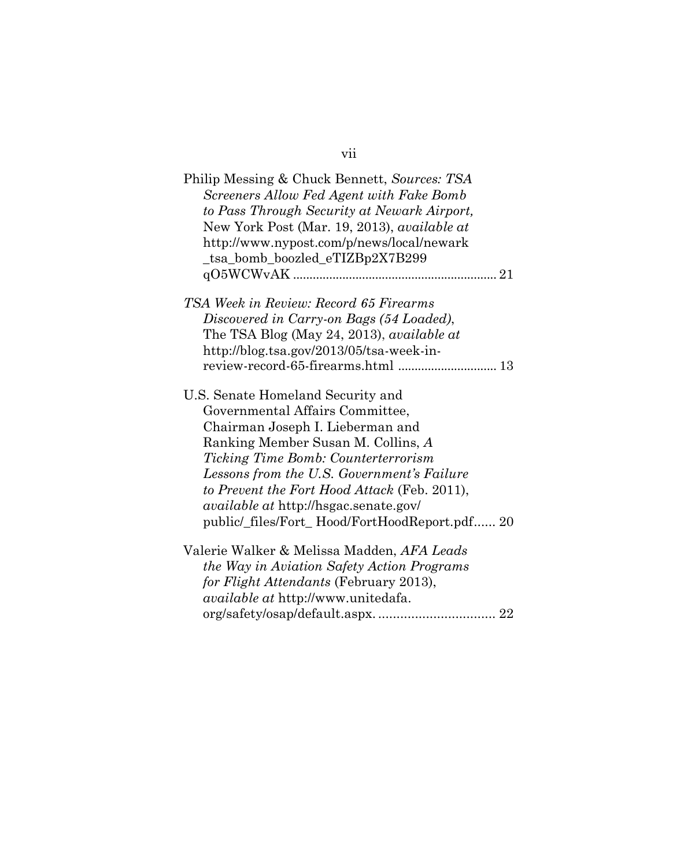# vii

| Philip Messing & Chuck Bennett, Sources: TSA<br>Screeners Allow Fed Agent with Fake Bomb |  |
|------------------------------------------------------------------------------------------|--|
| to Pass Through Security at Newark Airport,                                              |  |
| New York Post (Mar. 19, 2013), <i>available at</i>                                       |  |
| http://www.nypost.com/p/news/local/newark                                                |  |
| _tsa_bomb_boozled_eTIZBp2X7B299                                                          |  |
|                                                                                          |  |
| TSA Week in Review: Record 65 Firearms                                                   |  |
| Discovered in Carry-on Bags (54 Loaded),                                                 |  |
| The TSA Blog (May 24, 2013), <i>available at</i>                                         |  |
| http://blog.tsa.gov/2013/05/tsa-week-in-                                                 |  |
|                                                                                          |  |
| U.S. Senate Homeland Security and                                                        |  |
| Governmental Affairs Committee,                                                          |  |
| Chairman Joseph I. Lieberman and                                                         |  |
| Ranking Member Susan M. Collins, A                                                       |  |
| <i>Ticking Time Bomb: Counterterrorism</i>                                               |  |
| Lessons from the U.S. Government's Failure                                               |  |
| to Prevent the Fort Hood Attack (Feb. 2011),                                             |  |
| <i>available at http://hsgac.senate.gov/</i>                                             |  |
| public/_files/Fort_Hood/FortHoodReport.pdf 20                                            |  |
| Valerie Walker & Melissa Madden, AFA Leads                                               |  |
| the Way in Aviation Safety Action Programs                                               |  |
| for Flight Attendants (February 2013),                                                   |  |
| <i>available at http://www.unitedafa.</i>                                                |  |
|                                                                                          |  |
|                                                                                          |  |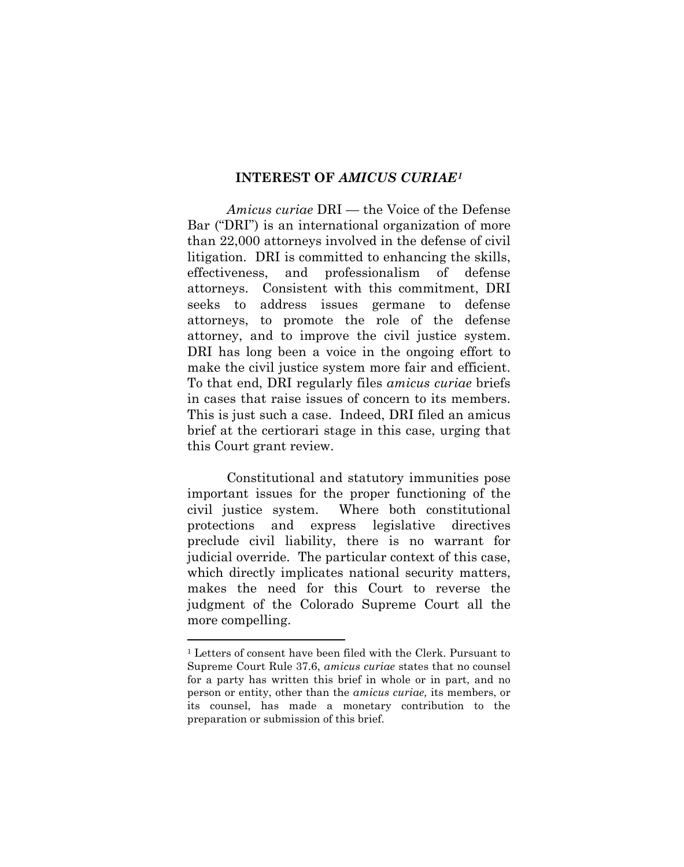#### **INTEREST OF** *AMICUS CURIAE[1](#page-8-1)*

<span id="page-8-0"></span>*Amicus curiae* DRI — the Voice of the Defense Bar ("DRI") is an international organization of more than 22,000 attorneys involved in the defense of civil litigation. DRI is committed to enhancing the skills, effectiveness, and professionalism of defense attorneys. Consistent with this commitment, DRI seeks to address issues germane to defense attorneys, to promote the role of the defense attorney, and to improve the civil justice system. DRI has long been a voice in the ongoing effort to make the civil justice system more fair and efficient. To that end, DRI regularly files *amicus curiae* briefs in cases that raise issues of concern to its members. This is just such a case. Indeed, DRI filed an amicus brief at the certiorari stage in this case, urging that this Court grant review.

Constitutional and statutory immunities pose important issues for the proper functioning of the civil justice system. Where both constitutional protections and express legislative directives preclude civil liability, there is no warrant for judicial override. The particular context of this case, which directly implicates national security matters, makes the need for this Court to reverse the judgment of the Colorado Supreme Court all the more compelling.

<u>.</u>

<span id="page-8-1"></span><sup>1</sup> Letters of consent have been filed with the Clerk. Pursuant to Supreme Court Rule 37.6, *amicus curiae* states that no counsel for a party has written this brief in whole or in part, and no person or entity, other than the *amicus curiae,* its members, or its counsel, has made a monetary contribution to the preparation or submission of this brief.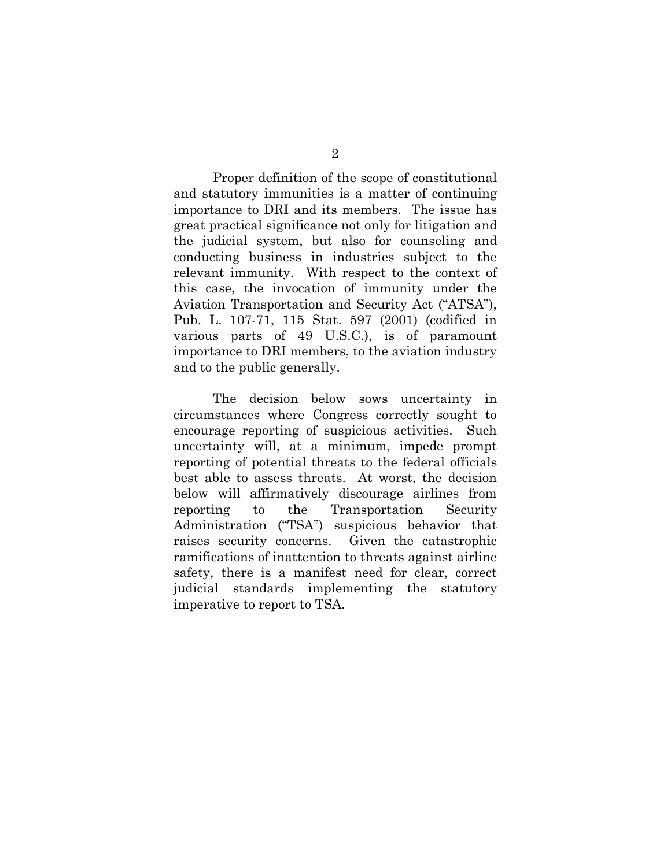Proper definition of the scope of constitutional and statutory immunities is a matter of continuing importance to DRI and its members. The issue has great practical significance not only for litigation and the judicial system, but also for counseling and conducting business in industries subject to the relevant immunity. With respect to the context of this case, the invocation of immunity under the Aviation Transportation and Security Act ("ATSA"), Pub. L. 107-71, 115 Stat. 597 (2001) (codified in various parts of 49 U.S.C.), is of paramount importance to DRI members, to the aviation industry and to the public generally.

The decision below sows uncertainty in circumstances where Congress correctly sought to encourage reporting of suspicious activities. Such uncertainty will, at a minimum, impede prompt reporting of potential threats to the federal officials best able to assess threats. At worst, the decision below will affirmatively discourage airlines from reporting to the Transportation Security Administration ("TSA") suspicious behavior that raises security concerns. Given the catastrophic ramifications of inattention to threats against airline safety, there is a manifest need for clear, correct judicial standards implementing the statutory imperative to report to TSA.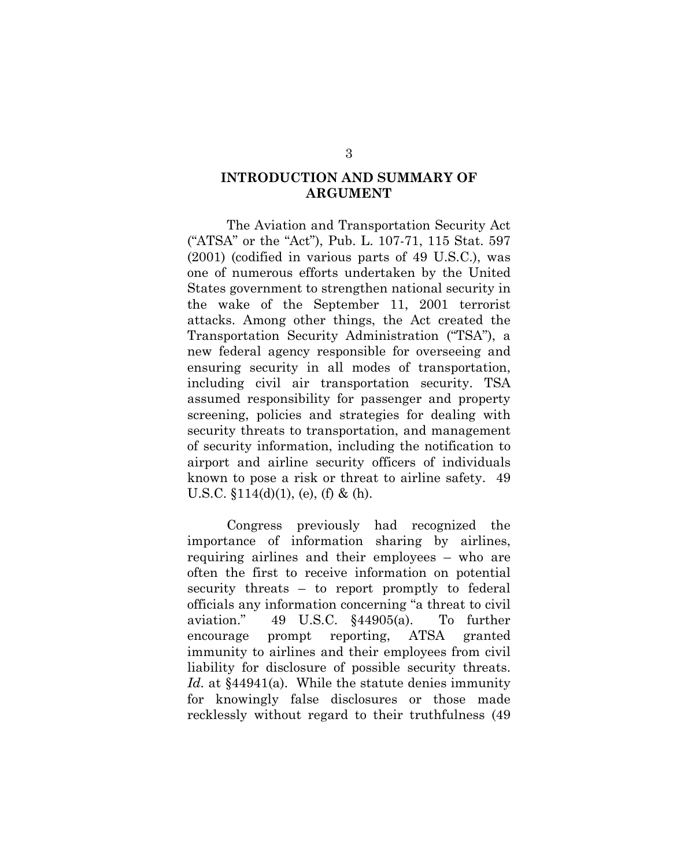## <span id="page-10-2"></span>**INTRODUCTION AND SUMMARY OF ARGUMENT**

The Aviation and Transportation Security Act ("ATSA" or the "Act"), Pub. L. 107-71, 115 Stat. 597 (2001) (codified in various parts of 49 U.S.C.), was one of numerous efforts undertaken by the United States government to strengthen national security in the wake of the September 11, 2001 terrorist attacks. Among other things, the Act created the Transportation Security Administration ("TSA"), a new federal agency responsible for overseeing and ensuring security in all modes of transportation, including civil air transportation security. TSA assumed responsibility for passenger and property screening, policies and strategies for dealing with security threats to transportation, and management of security information, including the notification to airport and airline security officers of individuals known to pose a risk or threat to airline safety. 49 U.S.C.  $$114(d)(1)$ , (e), (f) & (h).

<span id="page-10-1"></span><span id="page-10-0"></span>Congress previously had recognized the importance of information sharing by airlines, requiring airlines and their employees – who are often the first to receive information on potential security threats – to report promptly to federal officials any information concerning "a threat to civil aviation." 49 U.S.C. §44905(a). To further encourage prompt reporting, ATSA granted immunity to airlines and their employees from civil liability for disclosure of possible security threats. *Id.* at §44941(a). While the statute denies immunity for knowingly false disclosures or those made recklessly without regard to their truthfulness (49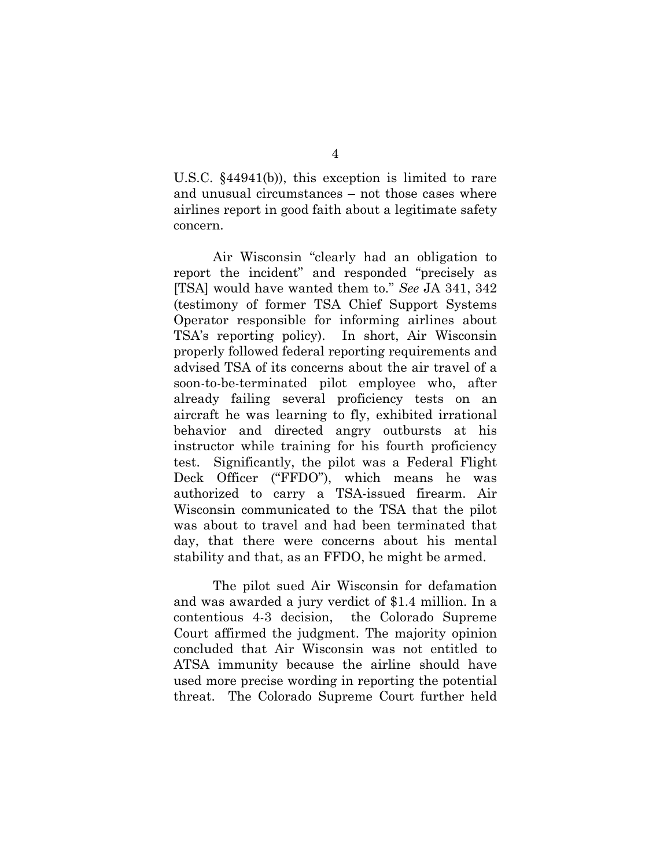U.S.C. §44941(b)), this exception is limited to rare and unusual circumstances – not those cases where airlines report in good faith about a legitimate safety concern.

Air Wisconsin "clearly had an obligation to report the incident" and responded "precisely as [TSA] would have wanted them to." *See* JA 341, 342 (testimony of former TSA Chief Support Systems Operator responsible for informing airlines about TSA's reporting policy). In short, Air Wisconsin properly followed federal reporting requirements and advised TSA of its concerns about the air travel of a soon-to-be-terminated pilot employee who, after already failing several proficiency tests on an aircraft he was learning to fly, exhibited irrational behavior and directed angry outbursts at his instructor while training for his fourth proficiency test. Significantly, the pilot was a Federal Flight Deck Officer ("FFDO"), which means he was authorized to carry a TSA-issued firearm. Air Wisconsin communicated to the TSA that the pilot was about to travel and had been terminated that day, that there were concerns about his mental stability and that, as an FFDO, he might be armed.

The pilot sued Air Wisconsin for defamation and was awarded a jury verdict of \$1.4 million. In a contentious 4-3 decision, the Colorado Supreme Court affirmed the judgment. The majority opinion concluded that Air Wisconsin was not entitled to ATSA immunity because the airline should have used more precise wording in reporting the potential threat. The Colorado Supreme Court further held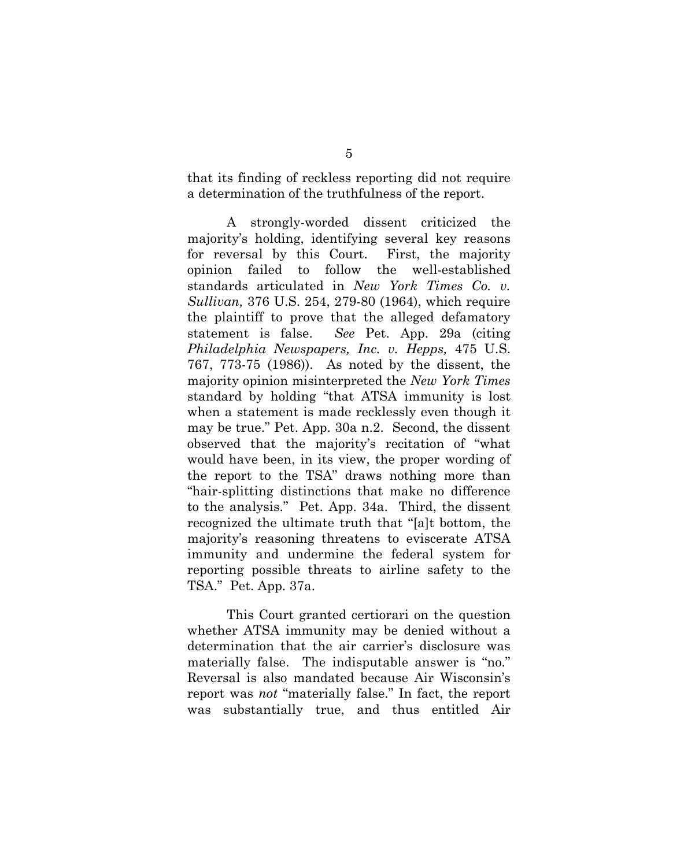that its finding of reckless reporting did not require a determination of the truthfulness of the report.

A strongly-worded dissent criticized the majority's holding, identifying several key reasons for reversal by this Court. First, the majority opinion failed to follow the well-established standards articulated in *New York Times Co. v. Sullivan,* 376 U.S. 254, 279-80 (1964), which require the plaintiff to prove that the alleged defamatory statement is false. *See* Pet. App. 29a (citing *Philadelphia Newspapers, Inc. v. Hepps,* 475 U.S. 767, 773-75 (1986)). As noted by the dissent, the majority opinion misinterpreted the *New York Times*  standard by holding "that ATSA immunity is lost when a statement is made recklessly even though it may be true." Pet. App. 30a n.2. Second, the dissent observed that the majority's recitation of "what would have been, in its view, the proper wording of the report to the TSA" draws nothing more than "hair-splitting distinctions that make no difference to the analysis." Pet. App. 34a. Third, the dissent recognized the ultimate truth that "[a]t bottom, the majority's reasoning threatens to eviscerate ATSA immunity and undermine the federal system for reporting possible threats to airline safety to the TSA." Pet. App. 37a.

This Court granted certiorari on the question whether ATSA immunity may be denied without a determination that the air carrier's disclosure was materially false. The indisputable answer is "no." Reversal is also mandated because Air Wisconsin's report was *not* "materially false." In fact, the report was substantially true, and thus entitled Air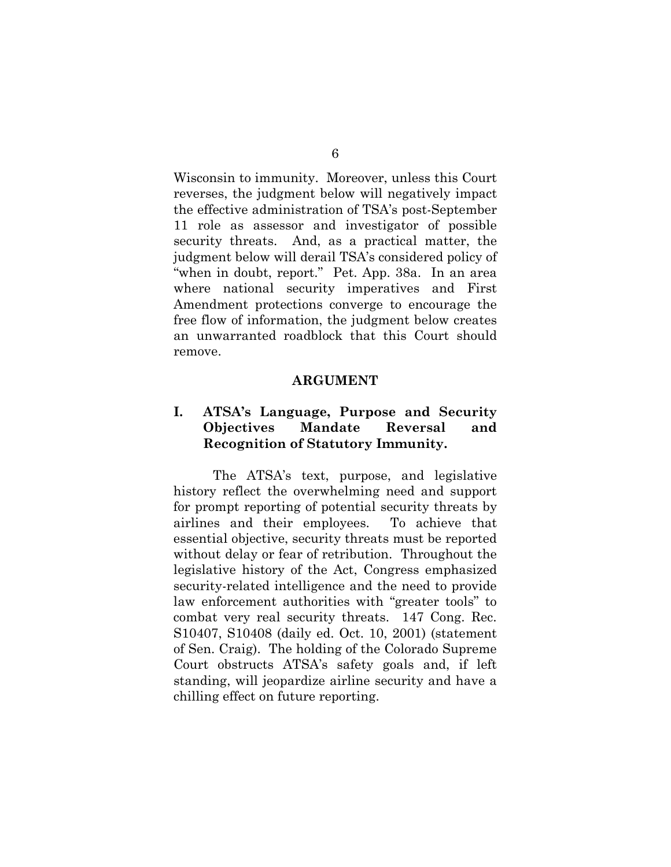Wisconsin to immunity. Moreover, unless this Court reverses, the judgment below will negatively impact the effective administration of TSA's post-September 11 role as assessor and investigator of possible security threats. And, as a practical matter, the judgment below will derail TSA's considered policy of "when in doubt, report." Pet. App. 38a. In an area where national security imperatives and First Amendment protections converge to encourage the free flow of information, the judgment below creates an unwarranted roadblock that this Court should remove.

#### **ARGUMENT**

## <span id="page-13-1"></span><span id="page-13-0"></span>**I. ATSA's Language, Purpose and Security Objectives Mandate Reversal and Recognition of Statutory Immunity.**

The ATSA's text, purpose, and legislative history reflect the overwhelming need and support for prompt reporting of potential security threats by airlines and their employees. To achieve that essential objective, security threats must be reported without delay or fear of retribution. Throughout the legislative history of the Act, Congress emphasized security-related intelligence and the need to provide law enforcement authorities with "greater tools" to combat very real security threats. 147 Cong. Rec. S10407, S10408 (daily ed. Oct. 10, 2001) (statement of Sen. Craig). The holding of the Colorado Supreme Court obstructs ATSA's safety goals and, if left standing, will jeopardize airline security and have a chilling effect on future reporting.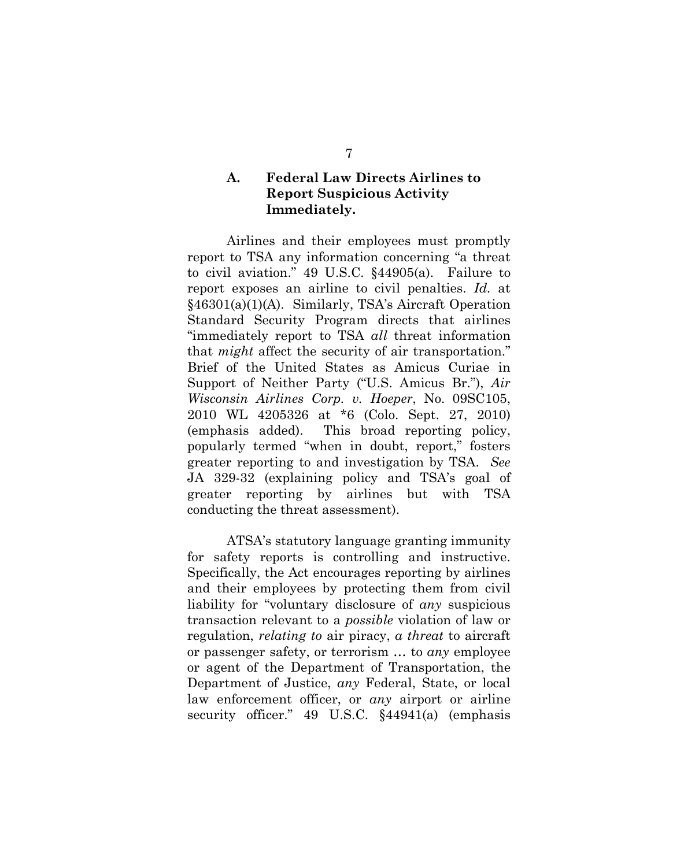## <span id="page-14-0"></span>**A. Federal Law Directs Airlines to Report Suspicious Activity Immediately.**

Airlines and their employees must promptly report to TSA any information concerning "a threat to civil aviation." 49 U.S.C. §44905(a). Failure to report exposes an airline to civil penalties. *Id.* at §46301(a)(1)(A). Similarly, TSA's Aircraft Operation Standard Security Program directs that airlines "immediately report to TSA *all* threat information that *might* affect the security of air transportation." Brief of the United States as Amicus Curiae in Support of Neither Party ("U.S. Amicus Br."), *Air Wisconsin Airlines Corp. v. Hoeper*, No. 09SC105, 2010 WL 4205326 at \*6 (Colo. Sept. 27, 2010) (emphasis added). This broad reporting policy, popularly termed "when in doubt, report," fosters greater reporting to and investigation by TSA. *See* JA 329-32 (explaining policy and TSA's goal of greater reporting by airlines but with TSA conducting the threat assessment).

ATSA's statutory language granting immunity for safety reports is controlling and instructive. Specifically, the Act encourages reporting by airlines and their employees by protecting them from civil liability for "voluntary disclosure of *any* suspicious transaction relevant to a *possible* violation of law or regulation, *relating to* air piracy, *a threat* to aircraft or passenger safety, or terrorism … to *any* employee or agent of the Department of Transportation, the Department of Justice, *any* Federal, State, or local law enforcement officer, or *any* airport or airline security officer." 49 U.S.C. §44941(a) (emphasis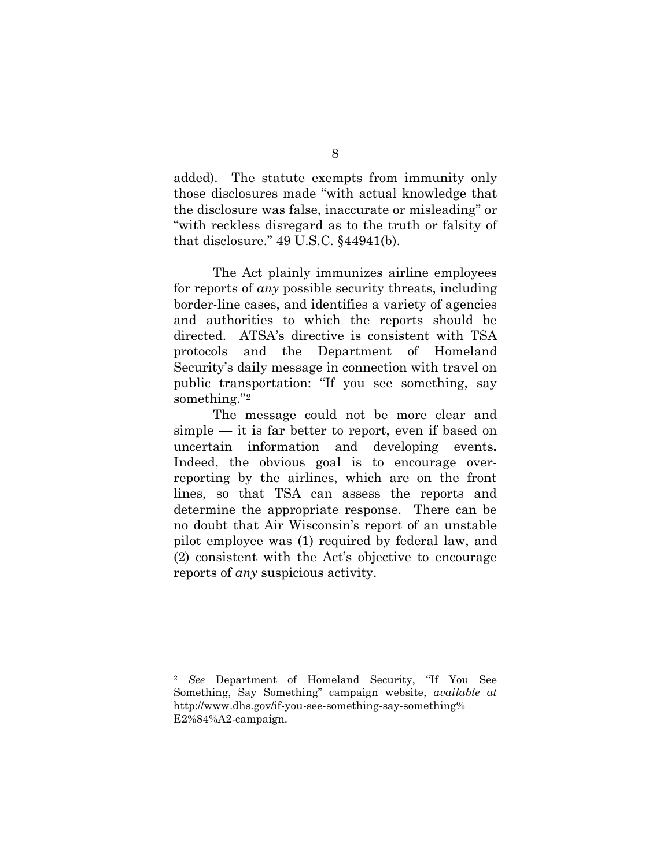added). The statute exempts from immunity only those disclosures made "with actual knowledge that the disclosure was false, inaccurate or misleading" or "with reckless disregard as to the truth or falsity of that disclosure." 49 U.S.C. §44941(b).

The Act plainly immunizes airline employees for reports of *any* possible security threats, including border-line cases, and identifies a variety of agencies and authorities to which the reports should be directed. ATSA's directive is consistent with TSA protocols and the Department of Homeland Security's daily message in connection with travel on public transportation: "If you see something, say something."[2](#page-15-0)

The message could not be more clear and simple — it is far better to report, even if based on uncertain information and developing events**.**  Indeed, the obvious goal is to encourage overreporting by the airlines, which are on the front lines, so that TSA can assess the reports and determine the appropriate response. There can be no doubt that Air Wisconsin's report of an unstable pilot employee was (1) required by federal law, and (2) consistent with the Act's objective to encourage reports of *any* suspicious activity.

 $\overline{a}$ 

<span id="page-15-0"></span><sup>2</sup> *See* Department of Homeland Security, "If You See Something, Say Something" campaign website, *available at* http://www.dhs.gov/if-you-see-something-say-something% E2%84%A2-campaign.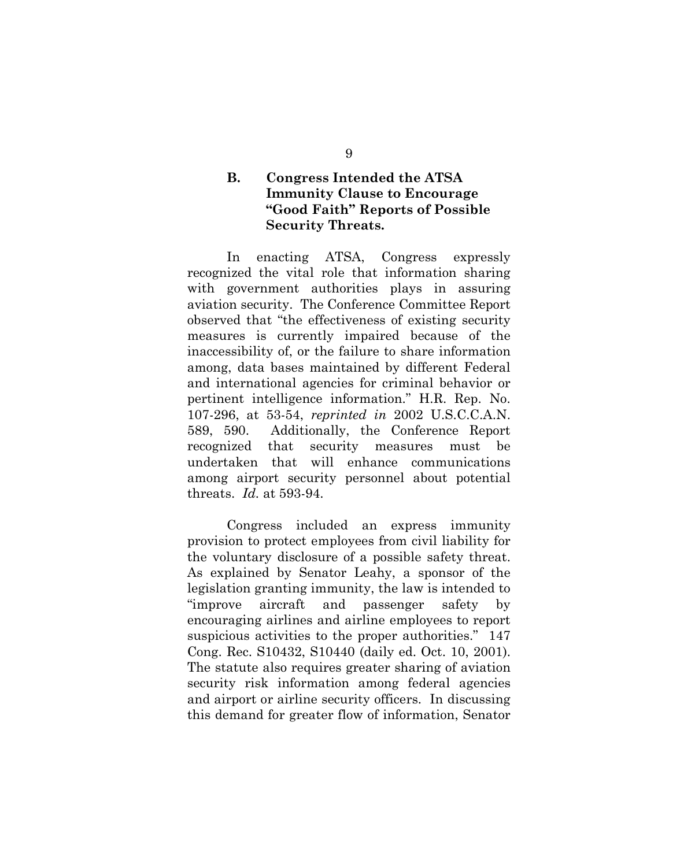## <span id="page-16-0"></span>**B. Congress Intended the ATSA Immunity Clause to Encourage "Good Faith" Reports of Possible Security Threats.**

In enacting ATSA, Congress expressly recognized the vital role that information sharing with government authorities plays in assuring aviation security. The Conference Committee Report observed that "the effectiveness of existing security measures is currently impaired because of the inaccessibility of, or the failure to share information among, data bases maintained by different Federal and international agencies for criminal behavior or pertinent intelligence information." H.R. Rep. No. 107-296, at 53-54, *reprinted in* 2002 U.S.C.C.A.N. 589, 590. Additionally, the Conference Report recognized that security measures must be undertaken that will enhance communications among airport security personnel about potential threats. *Id.* at 593-94.

<span id="page-16-2"></span><span id="page-16-1"></span>Congress included an express immunity provision to protect employees from civil liability for the voluntary disclosure of a possible safety threat. As explained by Senator Leahy, a sponsor of the legislation granting immunity, the law is intended to "improve aircraft and passenger safety by encouraging airlines and airline employees to report suspicious activities to the proper authorities." 147 Cong. Rec. S10432, S10440 (daily ed. Oct. 10, 2001). The statute also requires greater sharing of aviation security risk information among federal agencies and airport or airline security officers. In discussing this demand for greater flow of information, Senator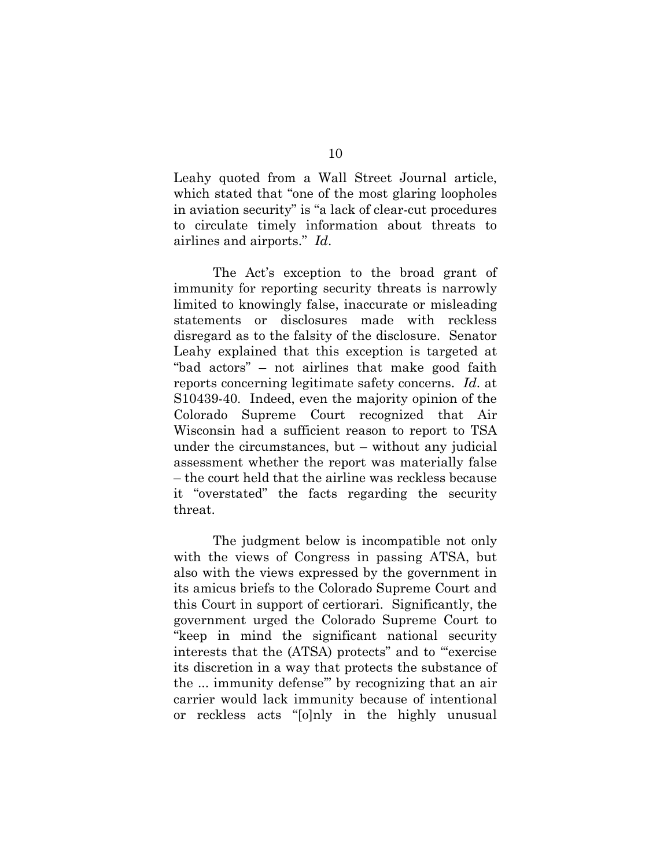Leahy quoted from a Wall Street Journal article, which stated that "one of the most glaring loopholes in aviation security" is "a lack of clear-cut procedures to circulate timely information about threats to airlines and airports." *Id*.

The Act's exception to the broad grant of immunity for reporting security threats is narrowly limited to knowingly false, inaccurate or misleading statements or disclosures made with reckless disregard as to the falsity of the disclosure. Senator Leahy explained that this exception is targeted at "bad actors" – not airlines that make good faith reports concerning legitimate safety concerns. *Id*. at S10439-40. Indeed, even the majority opinion of the Colorado Supreme Court recognized that Air Wisconsin had a sufficient reason to report to TSA under the circumstances, but – without any judicial assessment whether the report was materially false – the court held that the airline was reckless because it "overstated" the facts regarding the security threat.

The judgment below is incompatible not only with the views of Congress in passing ATSA, but also with the views expressed by the government in its amicus briefs to the Colorado Supreme Court and this Court in support of certiorari. Significantly, the government urged the Colorado Supreme Court to "keep in mind the significant national security interests that the (ATSA) protects" and to "'exercise its discretion in a way that protects the substance of the ... immunity defense'" by recognizing that an air carrier would lack immunity because of intentional or reckless acts "[o]nly in the highly unusual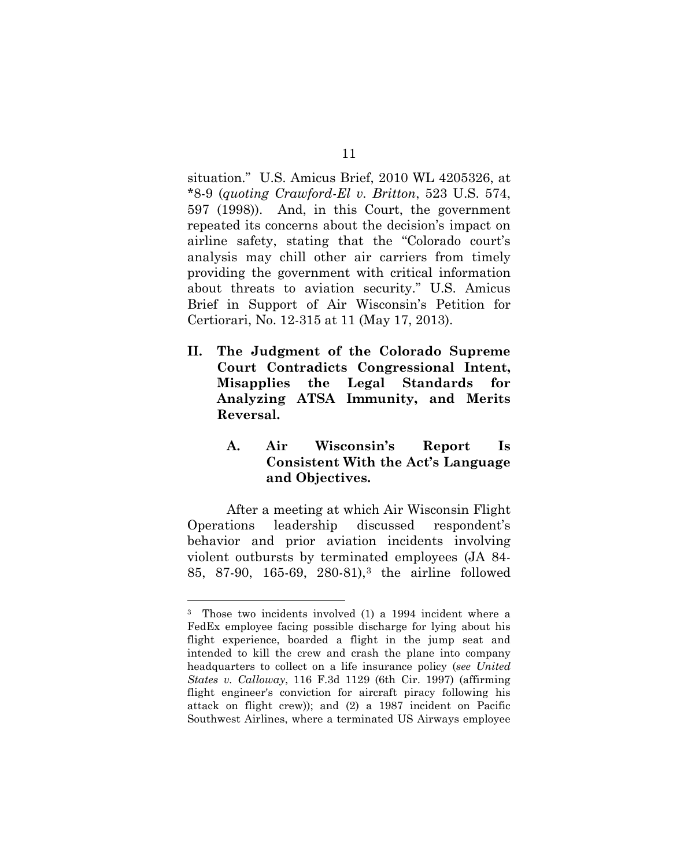situation." U.S. Amicus Brief, 2010 WL 4205326, at \*8-9 (*quoting Crawford-El v. Britton*, 523 U.S. 574, 597 (1998)). And, in this Court, the government repeated its concerns about the decision's impact on airline safety, stating that the "Colorado court's analysis may chill other air carriers from timely providing the government with critical information about threats to aviation security." U.S. Amicus Brief in Support of Air Wisconsin's Petition for Certiorari, No. 12-315 at 11 (May 17, 2013).

<span id="page-18-0"></span>**II. The Judgment of the Colorado Supreme Court Contradicts Congressional Intent, Misapplies the Legal Standards for Analyzing ATSA Immunity, and Merits Reversal.**

## <span id="page-18-1"></span>**A. Air Wisconsin's Report Is Consistent With the Act's Language and Objectives.**

After a meeting at which Air Wisconsin Flight Operations leadership discussed respondent's behavior and prior aviation incidents involving violent outbursts by terminated employees (JA 84- 85, 87-90, 165-69, 280-81),[3](#page-18-2) the airline followed

-

<span id="page-18-2"></span><sup>3</sup> Those two incidents involved (1) a 1994 incident where a FedEx employee facing possible discharge for lying about his flight experience, boarded a flight in the jump seat and intended to kill the crew and crash the plane into company headquarters to collect on a life insurance policy (*see United States v. Calloway*, 116 F.3d 1129 (6th Cir. 1997) (affirming flight engineer's conviction for aircraft piracy following his attack on flight crew)); and (2) a 1987 incident on Pacific Southwest Airlines, where a terminated US Airways employee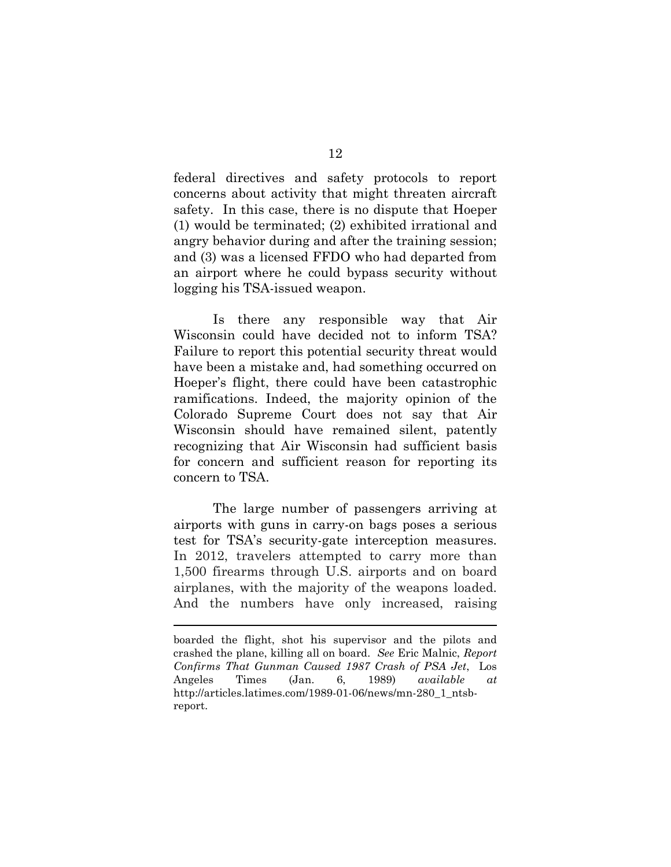federal directives and safety protocols to report concerns about activity that might threaten aircraft safety. In this case, there is no dispute that Hoeper (1) would be terminated; (2) exhibited irrational and angry behavior during and after the training session; and (3) was a licensed FFDO who had departed from an airport where he could bypass security without logging his TSA-issued weapon.

Is there any responsible way that Air Wisconsin could have decided not to inform TSA? Failure to report this potential security threat would have been a mistake and, had something occurred on Hoeper's flight, there could have been catastrophic ramifications. Indeed, the majority opinion of the Colorado Supreme Court does not say that Air Wisconsin should have remained silent, patently recognizing that Air Wisconsin had sufficient basis for concern and sufficient reason for reporting its concern to TSA.

The large number of passengers arriving at airports with guns in carry-on bags poses a serious test for TSA's security-gate interception measures. In 2012, travelers attempted to carry more than 1,500 firearms through U.S. airports and on board airplanes, with the majority of the weapons loaded. And the numbers have only increased, raising

 $\overline{a}$ 

boarded the flight, shot his supervisor and the pilots and crashed the plane, killing all on board. *See* Eric Malnic, *Report Confirms That Gunman Caused 1987 Crash of PSA Jet*, Los Angeles Times (Jan. 6, 1989) *available at* http://articles.latimes.com/1989-01-06/news/mn-280\_1\_ntsbreport.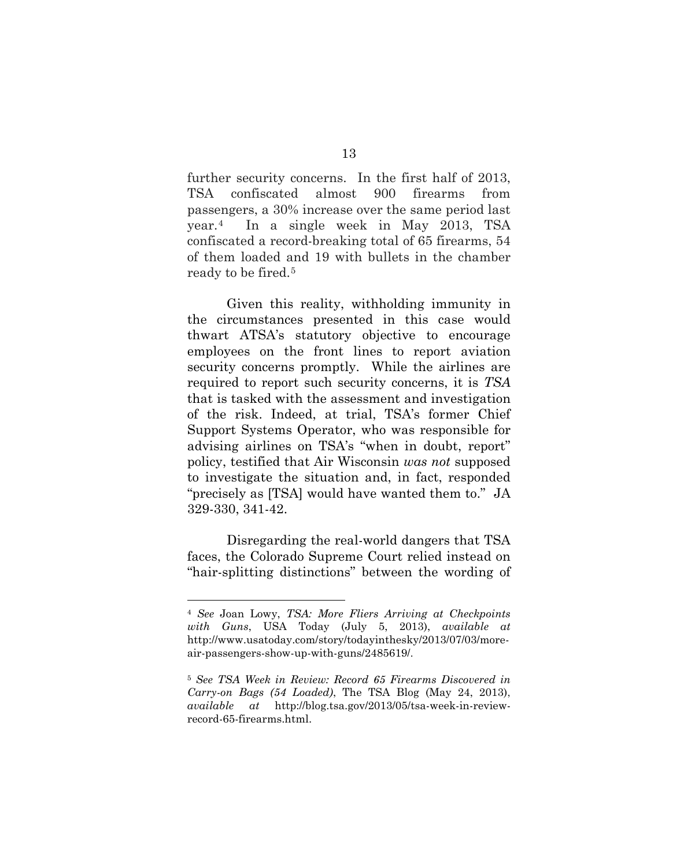further security concerns. In the first half of 2013, TSA confiscated almost 900 firearms from passengers, a 30% increase over the same period last year.[4](#page-20-1) In a single week in May 2013, TSA confiscated a record-breaking total of 65 firearms, 54 of them loaded and 19 with bullets in the chamber ready to be fired.[5](#page-20-2)

Given this reality, withholding immunity in the circumstances presented in this case would thwart ATSA's statutory objective to encourage employees on the front lines to report aviation security concerns promptly. While the airlines are required to report such security concerns, it is *TSA* that is tasked with the assessment and investigation of the risk. Indeed, at trial, TSA's former Chief Support Systems Operator, who was responsible for advising airlines on TSA's "when in doubt, report" policy, testified that Air Wisconsin *was not* supposed to investigate the situation and, in fact, responded "precisely as [TSA] would have wanted them to." JA 329-330, 341-42.

Disregarding the real-world dangers that TSA faces, the Colorado Supreme Court relied instead on "hair-splitting distinctions" between the wording of

-

<span id="page-20-1"></span><span id="page-20-0"></span><sup>4</sup> *See* Joan Lowy, *TSA: More Fliers Arriving at Checkpoints with Guns*, USA Today (July 5, 2013), *available at* http://www.usatoday.com/story/todayinthesky/2013/07/03/moreair-passengers-show-up-with-guns/2485619/.

<span id="page-20-2"></span><sup>5</sup> *See TSA Week in Review: Record 65 Firearms Discovered in Carry-on Bags (54 Loaded)*, The TSA Blog (May 24, 2013), *available at* http://blog.tsa.gov/2013/05/tsa-week-in-reviewrecord-65-firearms.html.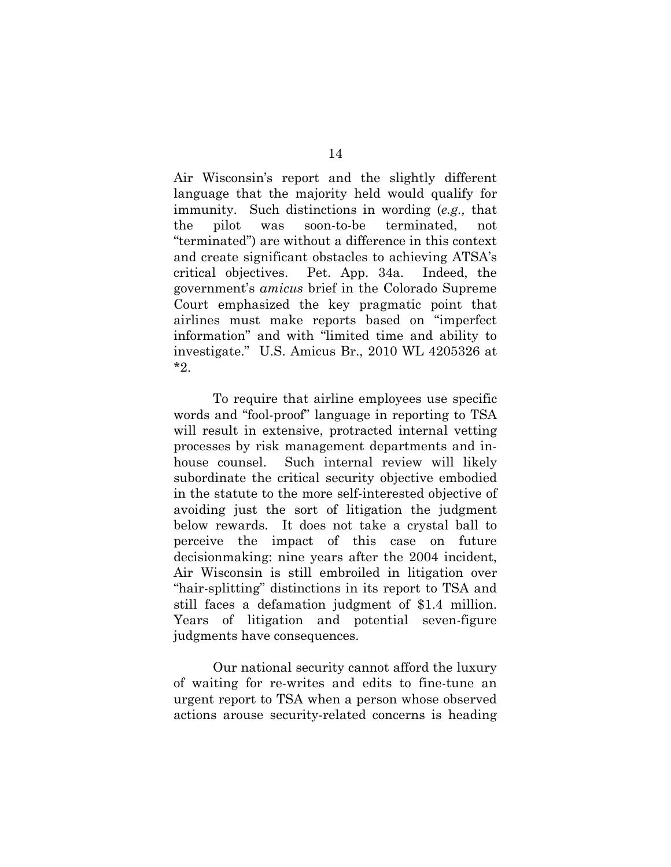Air Wisconsin's report and the slightly different language that the majority held would qualify for immunity. Such distinctions in wording (*e.g.,* that the pilot was soon-to-be terminated, not "terminated") are without a difference in this context and create significant obstacles to achieving ATSA's critical objectives. Pet. App. 34a. Indeed, the government's *amicus* brief in the Colorado Supreme Court emphasized the key pragmatic point that airlines must make reports based on "imperfect information" and with "limited time and ability to investigate." U.S. Amicus Br., 2010 WL 4205326 at \*2.

To require that airline employees use specific words and "fool-proof" language in reporting to TSA will result in extensive, protracted internal vetting processes by risk management departments and inhouse counsel. Such internal review will likely subordinate the critical security objective embodied in the statute to the more self-interested objective of avoiding just the sort of litigation the judgment below rewards. It does not take a crystal ball to perceive the impact of this case on future decisionmaking: nine years after the 2004 incident, Air Wisconsin is still embroiled in litigation over "hair-splitting" distinctions in its report to TSA and still faces a defamation judgment of \$1.4 million. Years of litigation and potential seven-figure judgments have consequences.

Our national security cannot afford the luxury of waiting for re-writes and edits to fine-tune an urgent report to TSA when a person whose observed actions arouse security-related concerns is heading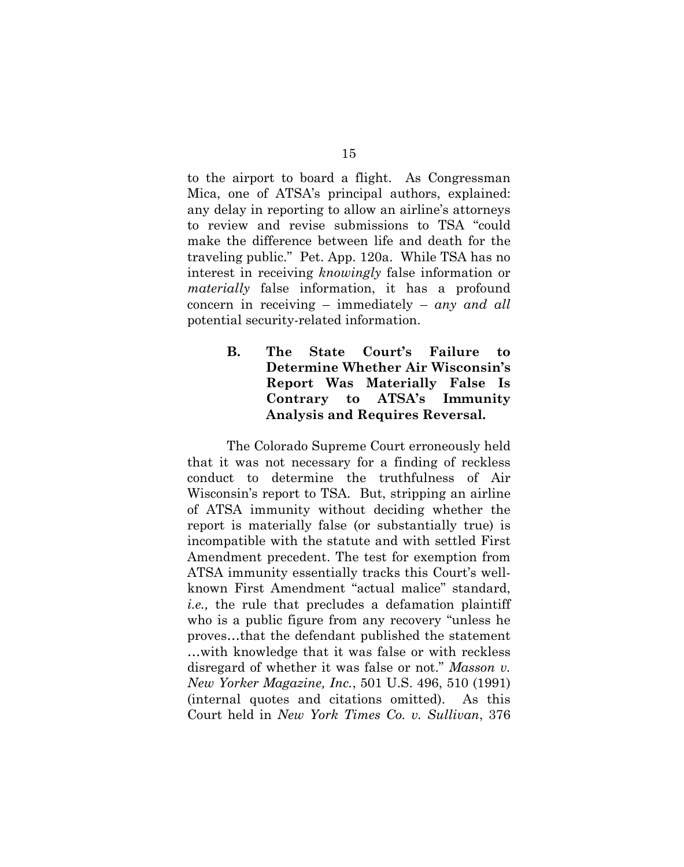to the airport to board a flight. As Congressman Mica, one of ATSA's principal authors, explained: any delay in reporting to allow an airline's attorneys to review and revise submissions to TSA "could make the difference between life and death for the traveling public." Pet. App. 120a. While TSA has no interest in receiving *knowingly* false information or *materially* false information, it has a profound concern in receiving – immediately – *any and all* potential security-related information.

## <span id="page-22-0"></span>**B. The State Court's Failure to Determine Whether Air Wisconsin's Report Was Materially False Is Contrary to ATSA's Immunity Analysis and Requires Reversal.**

<span id="page-22-1"></span>The Colorado Supreme Court erroneously held that it was not necessary for a finding of reckless conduct to determine the truthfulness of Air Wisconsin's report to TSA. But, stripping an airline of ATSA immunity without deciding whether the report is materially false (or substantially true) is incompatible with the statute and with settled First Amendment precedent. The test for exemption from ATSA immunity essentially tracks this Court's wellknown First Amendment "actual malice" standard, *i.e.,* the rule that precludes a defamation plaintiff who is a public figure from any recovery "unless he proves…that the defendant published the statement …with knowledge that it was false or with reckless disregard of whether it was false or not." *Masson v. New Yorker Magazine, Inc.*, 501 U.S. 496, 510 (1991) (internal quotes and citations omitted). As this Court held in *New York Times Co. v. Sullivan*, 376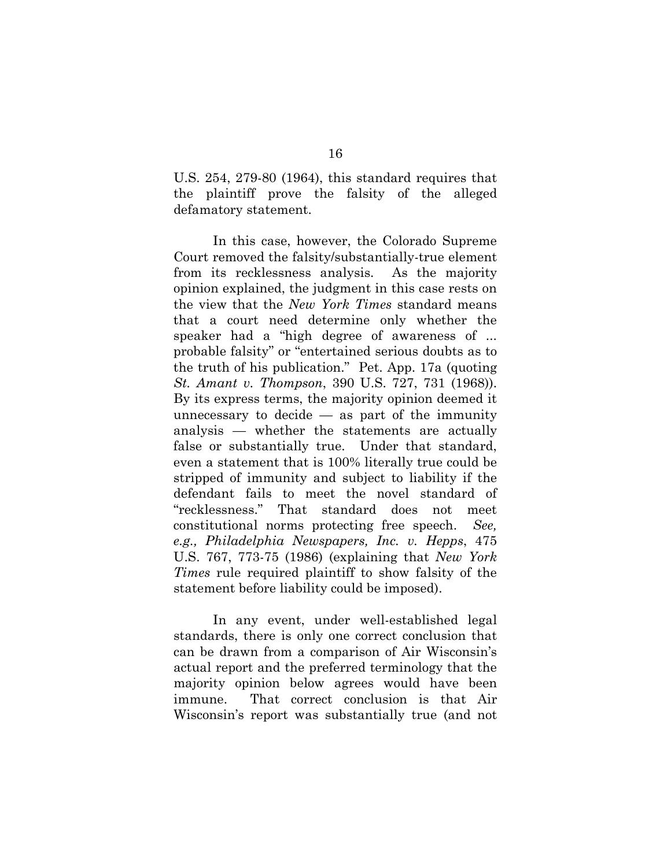U.S. 254, 279-80 (1964), this standard requires that the plaintiff prove the falsity of the alleged defamatory statement.

In this case, however, the Colorado Supreme Court removed the falsity/substantially-true element from its recklessness analysis. As the majority opinion explained, the judgment in this case rests on the view that the *New York Times* standard means that a court need determine only whether the speaker had a "high degree of awareness of ... probable falsity" or "entertained serious doubts as to the truth of his publication." Pet. App. 17a (quoting *St. Amant v. Thompson*, 390 U.S. 727, 731 (1968)). By its express terms, the majority opinion deemed it unnecessary to decide  $-$  as part of the immunity analysis — whether the statements are actually false or substantially true. Under that standard, even a statement that is 100% literally true could be stripped of immunity and subject to liability if the defendant fails to meet the novel standard of "recklessness." That standard does not meet constitutional norms protecting free speech. *See, e.g., Philadelphia Newspapers, Inc. v. Hepps*, 475 U.S. 767, 773-75 (1986) (explaining that *New York Times* rule required plaintiff to show falsity of the statement before liability could be imposed).

<span id="page-23-0"></span>In any event, under well-established legal standards, there is only one correct conclusion that can be drawn from a comparison of Air Wisconsin's actual report and the preferred terminology that the majority opinion below agrees would have been immune. That correct conclusion is that Air Wisconsin's report was substantially true (and not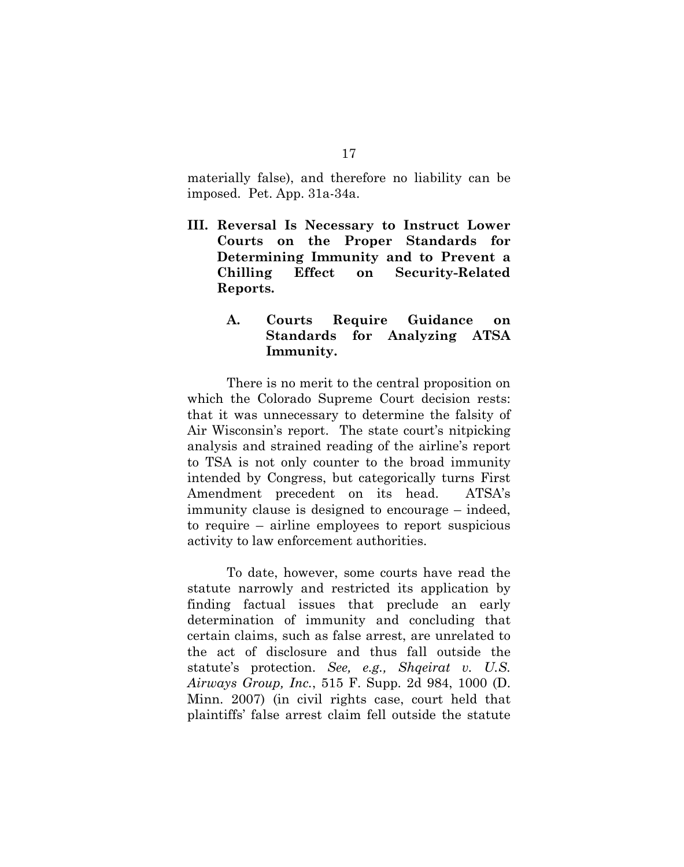<span id="page-24-0"></span>materially false), and therefore no liability can be imposed. Pet. App. 31a-34a.

**III. Reversal Is Necessary to Instruct Lower Courts on the Proper Standards for Determining Immunity and to Prevent a Chilling Effect on Security-Related Reports.**

## <span id="page-24-1"></span>**A. Courts Require Guidance on Standards for Analyzing ATSA Immunity.**

There is no merit to the central proposition on which the Colorado Supreme Court decision rests: that it was unnecessary to determine the falsity of Air Wisconsin's report. The state court's nitpicking analysis and strained reading of the airline's report to TSA is not only counter to the broad immunity intended by Congress, but categorically turns First Amendment precedent on its head. ATSA's immunity clause is designed to encourage – indeed, to require – airline employees to report suspicious activity to law enforcement authorities.

<span id="page-24-2"></span>To date, however, some courts have read the statute narrowly and restricted its application by finding factual issues that preclude an early determination of immunity and concluding that certain claims, such as false arrest, are unrelated to the act of disclosure and thus fall outside the statute's protection. *See, e.g., Shqeirat v. U.S. Airways Group, Inc.*, 515 F. Supp. 2d 984, 1000 (D. Minn. 2007) (in civil rights case, court held that plaintiffs' false arrest claim fell outside the statute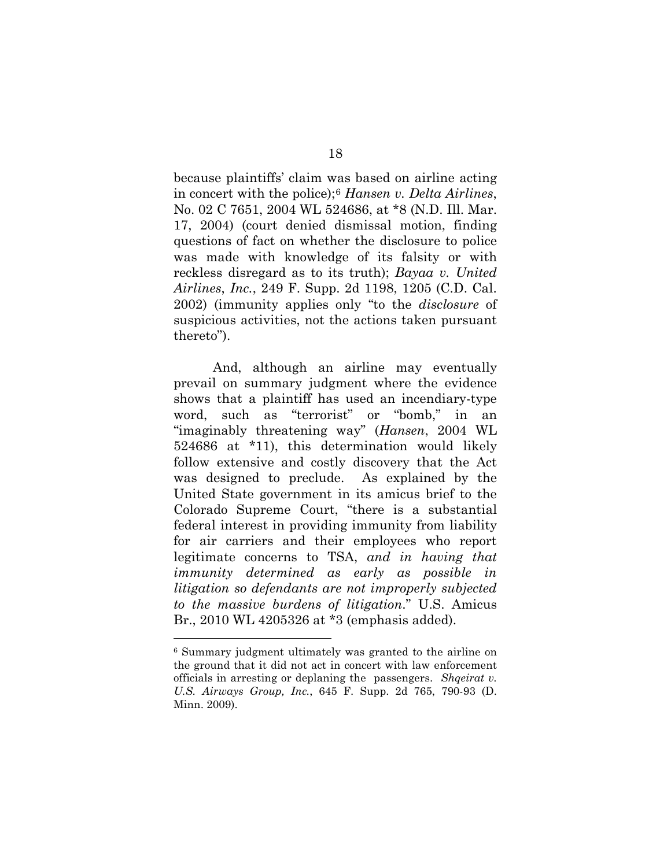<span id="page-25-0"></span>because plaintiffs' claim was based on airline acting in concert with the police);[6](#page-25-3) *Hansen v. Delta Airlines*, No. 02 C 7651, 2004 WL 524686, at \*8 (N.D. Ill. Mar. 17, 2004) (court denied dismissal motion, finding questions of fact on whether the disclosure to police was made with knowledge of its falsity or with reckless disregard as to its truth); *Bayaa v. United Airlines*, *Inc.*, 249 F. Supp. 2d 1198, 1205 (C.D. Cal. 2002) (immunity applies only "to the *disclosure* of suspicious activities, not the actions taken pursuant thereto").

<span id="page-25-1"></span>And, although an airline may eventually prevail on summary judgment where the evidence shows that a plaintiff has used an incendiary-type word, such as "terrorist" or "bomb," in an "imaginably threatening way" (*Hansen*, 2004 WL 524686 at \*11), this determination would likely follow extensive and costly discovery that the Act was designed to preclude. As explained by the United State government in its amicus brief to the Colorado Supreme Court, "there is a substantial federal interest in providing immunity from liability for air carriers and their employees who report legitimate concerns to TSA, *and in having that immunity determined as early as possible in litigation so defendants are not improperly subjected to the massive burdens of litigation*." U.S. Amicus Br., 2010 WL 4205326 at \*3 (emphasis added).

<span id="page-25-2"></span> $\overline{a}$ 

<span id="page-25-3"></span><sup>6</sup> Summary judgment ultimately was granted to the airline on the ground that it did not act in concert with law enforcement officials in arresting or deplaning the passengers. *Shqeirat v. U.S. Airways Group, Inc.*, 645 F. Supp. 2d 765, 790-93 (D. Minn. 2009).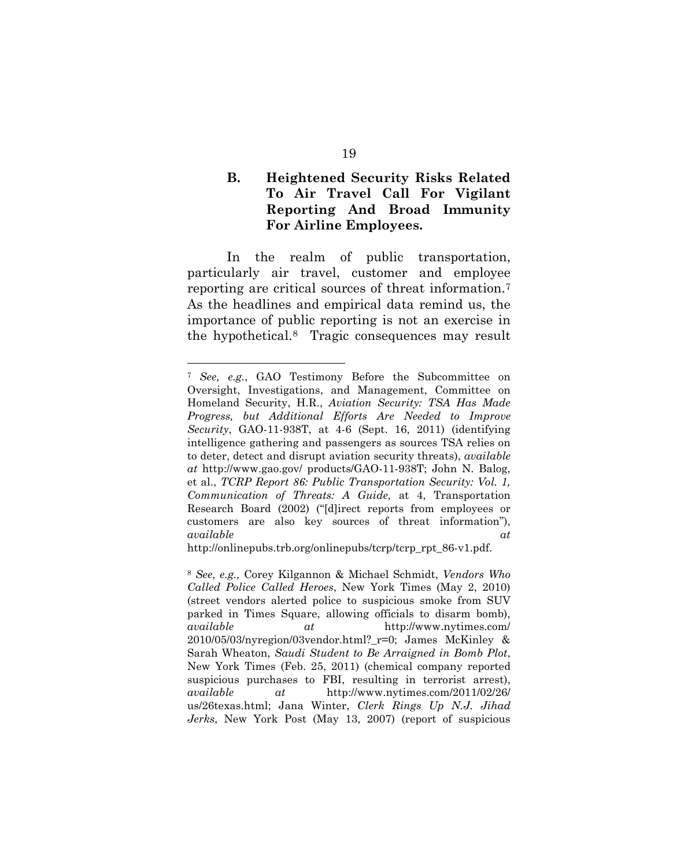## <span id="page-26-0"></span>**B. Heightened Security Risks Related To Air Travel Call For Vigilant Reporting And Broad Immunity For Airline Employees.**

In the realm of public transportation, particularly air travel, customer and employee reporting are critical sources of threat information.[7](#page-26-2) As the headlines and empirical data remind us, the importance of public reporting is not an exercise in the hypothetical.[8](#page-26-3) Tragic consequences may result

-

http://onlinepubs.trb.org/onlinepubs/tcrp/tcrp\_rpt\_86-v1.pdf.

<span id="page-26-2"></span><span id="page-26-1"></span><sup>7</sup> *See, e.g.*, GAO Testimony Before the Subcommittee on Oversight, Investigations, and Management, Committee on Homeland Security, H.R., *Aviation Security: TSA Has Made Progress, but Additional Efforts Are Needed to Improve Security*, GAO-11-938T, at 4-6 (Sept. 16, 2011) (identifying intelligence gathering and passengers as sources TSA relies on to deter, detect and disrupt aviation security threats), *available at* http://www.gao.gov/ products/GAO-11-938T; John N. Balog, et al., *TCRP Report 86: Public Transportation Security: Vol. 1, Communication of Threats: A Guide,* at 4, Transportation Research Board (2002) ("[d]irect reports from employees or customers are also key sources of threat information"), *available at*

<span id="page-26-3"></span><sup>8</sup> *See, e.g.,* Corey Kilgannon & Michael Schmidt, *Vendors Who Called Police Called Heroes*, New York Times (May 2, 2010) (street vendors alerted police to suspicious smoke from SUV parked in Times Square, allowing officials to disarm bomb), *available at* http://www.nytimes.com/ 2010/05/03/nyregion/03vendor.html?\_r=0; James McKinley & Sarah Wheaton, *Saudi Student to Be Arraigned in Bomb Plot*, New York Times (Feb. 25, 2011) (chemical company reported suspicious purchases to FBI, resulting in terrorist arrest), *available at* http://www.nytimes.com/2011/02/26/ us/26texas.html; Jana Winter, *Clerk Rings Up N.J. Jihad Jerks*, New York Post (May 13, 2007) (report of suspicious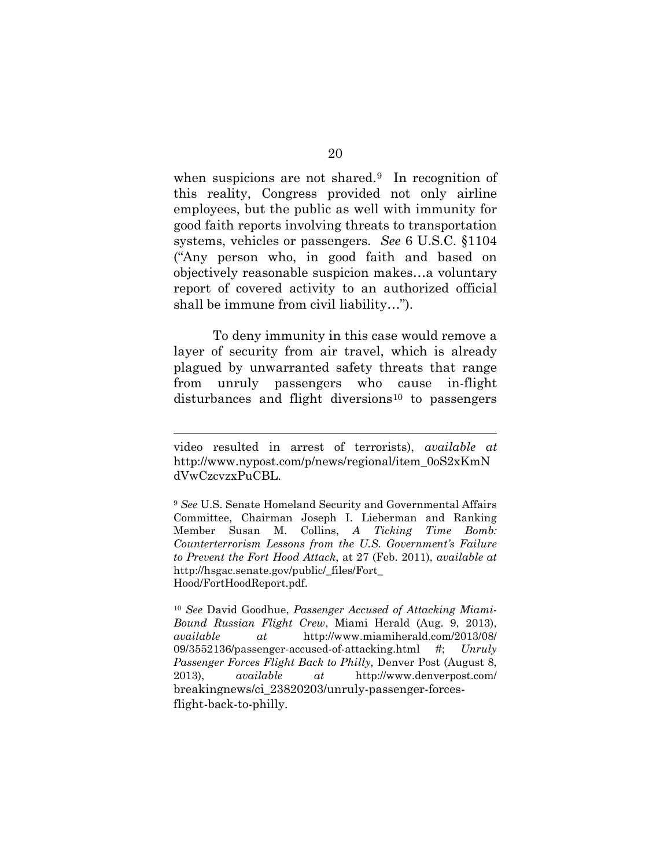when suspicions are not shared.<sup>9</sup> In recognition of this reality, Congress provided not only airline employees, but the public as well with immunity for good faith reports involving threats to transportation systems, vehicles or passengers. *See* 6 U.S.C. §1104 ("Any person who, in good faith and based on objectively reasonable suspicion makes…a voluntary report of covered activity to an authorized official shall be immune from civil liability…").

To deny immunity in this case would remove a layer of security from air travel, which is already plagued by unwarranted safety threats that range from unruly passengers who cause in-flight disturbances and flight diversions<sup>[10](#page-27-2)</sup> to passengers

 $\overline{a}$ 

video resulted in arrest of terrorists), *available at*  http://www.nypost.com/p/news/regional/item\_0oS2xKmN dVwCzcvzxPuCBL.

<span id="page-27-1"></span><sup>9</sup> *See* U.S. Senate Homeland Security and Governmental Affairs Committee, Chairman Joseph I. Lieberman and Ranking Member Susan M. Collins, *A Ticking Time Bomb: Counterterrorism Lessons from the U.S. Government's Failure to Prevent the Fort Hood Attack*, at 27 (Feb. 2011), *available at* http://hsgac.senate.gov/public/\_files/Fort\_ Hood/FortHoodReport.pdf.

<span id="page-27-2"></span><span id="page-27-0"></span><sup>10</sup> *See* David Goodhue, *Passenger Accused of Attacking Miami-Bound Russian Flight Crew*, Miami Herald (Aug. 9, 2013), *available at* http://www.miamiherald.com/2013/08/ 09/3552136/passenger-accused-of-attacking.html #; *Unruly Passenger Forces Flight Back to Philly,* Denver Post (August 8, 2013), *available at* http://www.denverpost.com/ breakingnews/ci\_23820203/unruly-passenger-forcesflight-back-to-philly.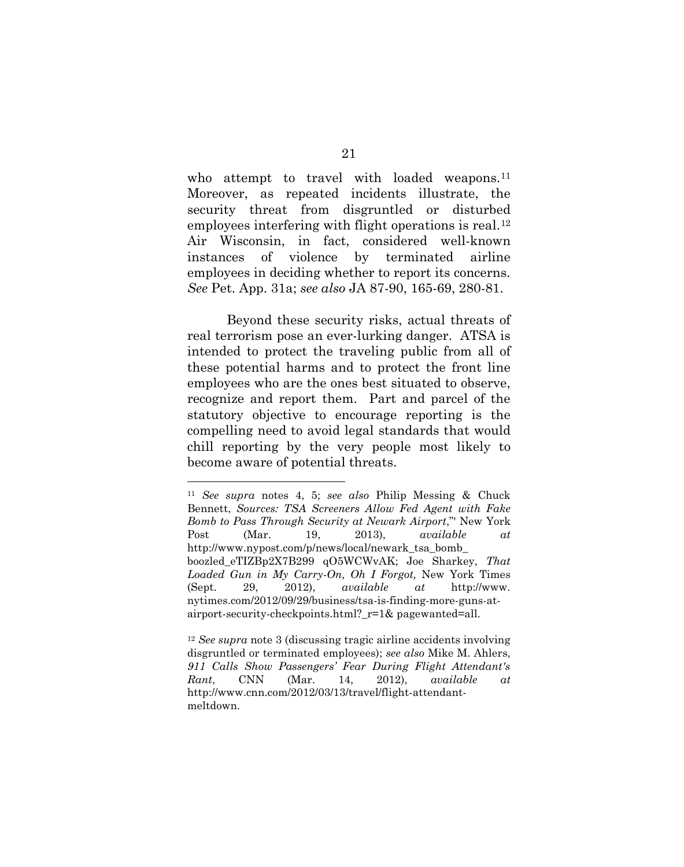who attempt to travel with loaded weapons.<sup>[11](#page-28-2)</sup> Moreover, as repeated incidents illustrate, the security threat from disgruntled or disturbed employees interfering with flight operations is real.<sup>[12](#page-28-3)</sup> Air Wisconsin, in fact, considered well-known instances of violence by terminated airline employees in deciding whether to report its concerns. *See* Pet. App. 31a; *see also* JA 87-90, 165-69, 280-81.

Beyond these security risks, actual threats of real terrorism pose an ever-lurking danger. ATSA is intended to protect the traveling public from all of these potential harms and to protect the front line employees who are the ones best situated to observe, recognize and report them. Part and parcel of the statutory objective to encourage reporting is the compelling need to avoid legal standards that would chill reporting by the very people most likely to become aware of potential threats.

<span id="page-28-1"></span><u>.</u>

<span id="page-28-2"></span><span id="page-28-0"></span><sup>11</sup> *See supra* notes 4, 5; *see also* Philip Messing & Chuck Bennett, *Sources: TSA Screeners Allow Fed Agent with Fake Bomb to Pass Through Security at Newark Airport*,"' New York Post (Mar. 19, 2013), *available at* http://www.nypost.com/p/news/local/newark\_tsa\_bomb\_ boozled\_eTIZBp2X7B299 qO5WCWvAK; Joe Sharkey, *That Loaded Gun in My Carry-On, Oh I Forgot,* New York Times (Sept. 29, 2012), *available at* http://www. nytimes.com/2012/09/29/business/tsa-is-finding-more-guns-atairport-security-checkpoints.html?\_r=1& pagewanted=all.

<span id="page-28-3"></span><sup>12</sup> *See supra* note 3 (discussing tragic airline accidents involving disgruntled or terminated employees); *see also* Mike M. Ahlers, *911 Calls Show Passengers' Fear During Flight Attendant's Rant*, CNN (Mar. 14, 2012), *available at* http://www.cnn.com/2012/03/13/travel/flight-attendantmeltdown.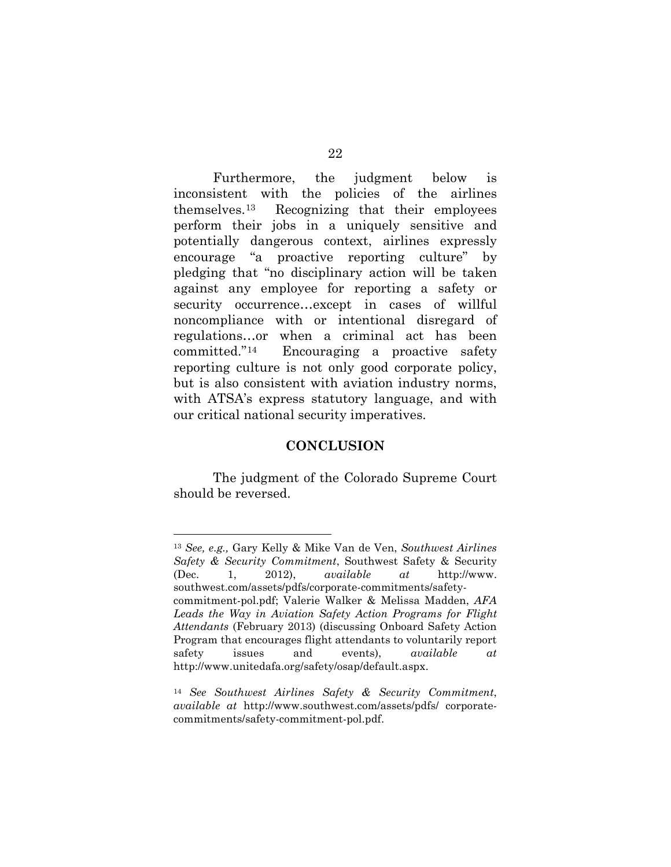Furthermore, the judgment below is inconsistent with the policies of the airlines themselves.[13](#page-29-1) Recognizing that their employees perform their jobs in a uniquely sensitive and potentially dangerous context, airlines expressly encourage "a proactive reporting culture" by pledging that "no disciplinary action will be taken against any employee for reporting a safety or security occurrence…except in cases of willful noncompliance with or intentional disregard of regulations…or when a criminal act has been committed."[14](#page-29-2) Encouraging a proactive safety reporting culture is not only good corporate policy, but is also consistent with aviation industry norms, with ATSA's express statutory language, and with our critical national security imperatives.

#### **CONCLUSION**

<span id="page-29-0"></span>The judgment of the Colorado Supreme Court should be reversed.

 $\overline{a}$ 

<span id="page-29-1"></span><sup>13</sup> *See, e.g.,* Gary Kelly & Mike Van de Ven, *Southwest Airlines Safety & Security Commitment*, Southwest Safety & Security (Dec. 1, 2012), *available at* http://www. southwest.com/assets/pdfs/corporate-commitments/safetycommitment-pol.pdf; Valerie Walker & Melissa Madden, *AFA Leads the Way in Aviation Safety Action Programs for Flight Attendants* (February 2013) (discussing Onboard Safety Action Program that encourages flight attendants to voluntarily report safety issues and events), *available at*  http://www.unitedafa.org/safety/osap/default.aspx.

<span id="page-29-2"></span><sup>14</sup> *See Southwest Airlines Safety & Security Commitment*, *available at* http://www.southwest.com/assets/pdfs/ corporatecommitments/safety-commitment-pol.pdf.